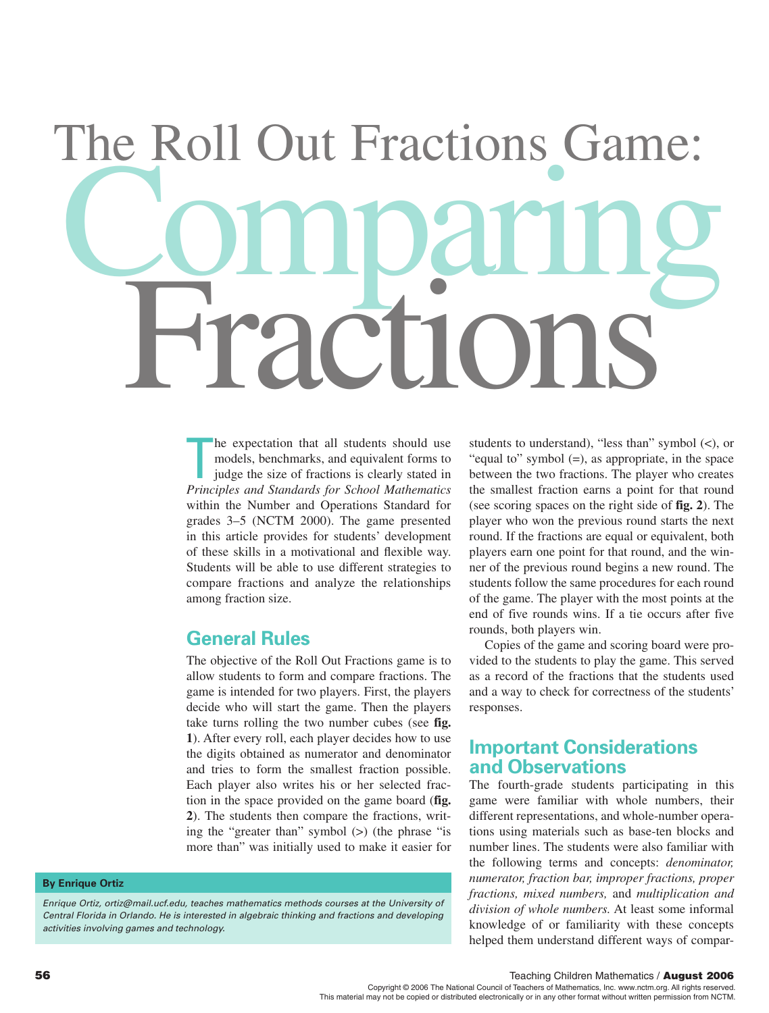# The Roll Out Fractions Game: Comparing Fractions

**Principles and Standards for School Mathematics and Standards for School Mathematics and Standards for School Mathematics** he expectation that all students should use models, benchmarks, and equivalent forms to judge the size of fractions is clearly stated in within the Number and Operations Standard for grades 3–5 (NCTM 2000). The game presented in this article provides for students' development of these skills in a motivational and flexible way. Students will be able to use different strategies to compare fractions and analyze the relationships among fraction size.

# **General Rules**

The objective of the Roll Out Fractions game is to allow students to form and compare fractions. The game is intended for two players. First, the players decide who will start the game. Then the players take turns rolling the two number cubes (see **fig. 1**). After every roll, each player decides how to use the digits obtained as numerator and denominator and tries to form the smallest fraction possible. Each player also writes his or her selected fraction in the space provided on the game board (**fig. 2**). The students then compare the fractions, writing the "greater than" symbol (>) (the phrase "is more than" was initially used to make it easier for

#### **By Enrique Ortiz**

*Enrique Ortiz, ortiz@mail.ucf.edu, teaches mathematics methods courses at the University of Central Florida in Orlando. He is interested in algebraic thinking and fractions and developing activities involving games and technology.*

students to understand), "less than" symbol (<), or "equal to" symbol (=), as appropriate, in the space between the two fractions. The player who creates the smallest fraction earns a point for that round (see scoring spaces on the right side of **fig. 2**). The player who won the previous round starts the next round. If the fractions are equal or equivalent, both players earn one point for that round, and the winner of the previous round begins a new round. The students follow the same procedures for each round of the game. The player with the most points at the end of five rounds wins. If a tie occurs after five rounds, both players win.

Copies of the game and scoring board were provided to the students to play the game. This served as a record of the fractions that the students used and a way to check for correctness of the students' responses.

# **Important Considerations and Observations**

The fourth-grade students participating in this game were familiar with whole numbers, their different representations, and whole-number operations using materials such as base-ten blocks and number lines. The students were also familiar with the following terms and concepts: *denominator, numerator, fraction bar, improper fractions, proper fractions, mixed numbers,* and *multiplication and division of whole numbers.* At least some informal knowledge of or familiarity with these concepts helped them understand different ways of compar-

56 Teaching Children Mathematics / August 2006

This material may not be copied or distributed electronically or in any other format without written permission from NCTM. Copyright © 2006 The National Council of Teachers of Mathematics, Inc. www.nctm.org. All rights reserved.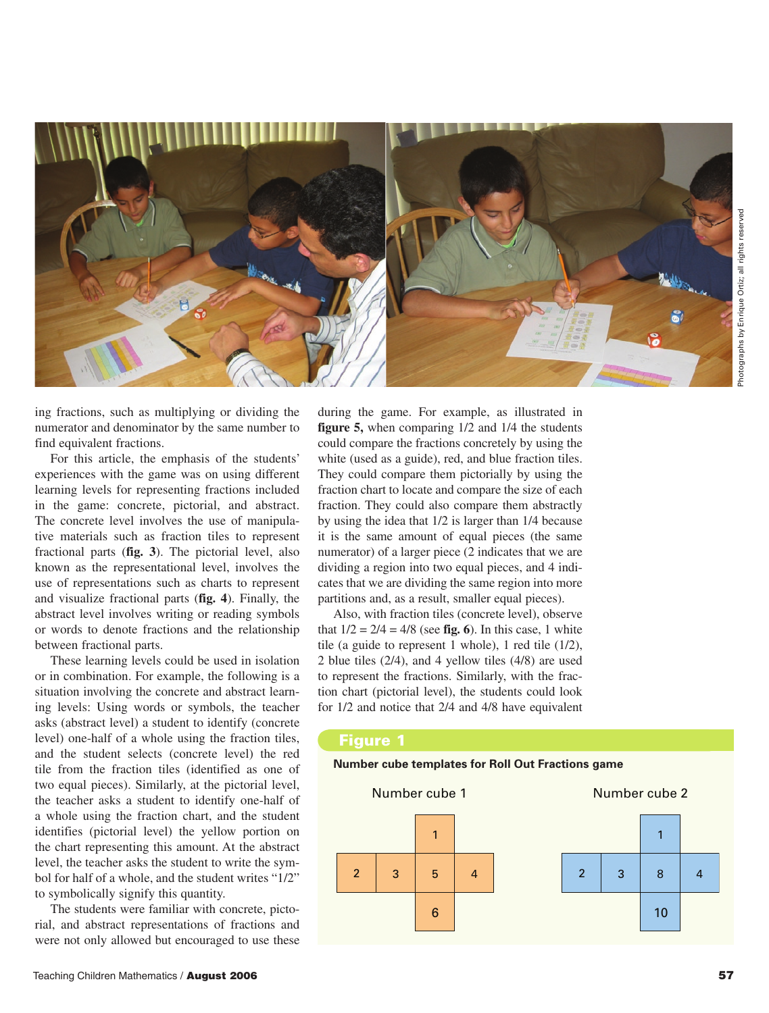

ing fractions, such as multiplying or dividing the numerator and denominator by the same number to find equivalent fractions.

For this article, the emphasis of the students' experiences with the game was on using different learning levels for representing fractions included in the game: concrete, pictorial, and abstract. The concrete level involves the use of manipulative materials such as fraction tiles to represent fractional parts (**fig. 3**). The pictorial level, also known as the representational level, involves the use of representations such as charts to represent and visualize fractional parts (**fig. 4**). Finally, the abstract level involves writing or reading symbols or words to denote fractions and the relationship between fractional parts.

These learning levels could be used in isolation or in combination. For example, the following is a situation involving the concrete and abstract learning levels: Using words or symbols, the teacher asks (abstract level) a student to identify (concrete level) one-half of a whole using the fraction tiles, and the student selects (concrete level) the red tile from the fraction tiles (identified as one of two equal pieces). Similarly, at the pictorial level, the teacher asks a student to identify one-half of a whole using the fraction chart, and the student identifies (pictorial level) the yellow portion on the chart representing this amount. At the abstract level, the teacher asks the student to write the symbol for half of a whole, and the student writes "1/2" to symbolically signify this quantity.

The students were familiar with concrete, pictorial, and abstract representations of fractions and were not only allowed but encouraged to use these during the game. For example, as illustrated in **figure 5,** when comparing 1/2 and 1/4 the students could compare the fractions concretely by using the white (used as a guide), red, and blue fraction tiles. They could compare them pictorially by using the fraction chart to locate and compare the size of each fraction. They could also compare them abstractly by using the idea that 1/2 is larger than 1/4 because it is the same amount of equal pieces (the same numerator) of a larger piece (2 indicates that we are dividing a region into two equal pieces, and 4 indicates that we are dividing the same region into more partitions and, as a result, smaller equal pieces).

Also, with fraction tiles (concrete level), observe that  $1/2 = 2/4 = 4/8$  (see **fig. 6**). In this case, 1 white tile (a guide to represent 1 whole), 1 red tile (1/2), 2 blue tiles (2/4), and 4 yellow tiles (4/8) are used to represent the fractions. Similarly, with the fraction chart (pictorial level), the students could look for 1/2 and notice that 2/4 and 4/8 have equivalent

#### Figure 1

#### **Number cube templates for Roll Out Fractions game**

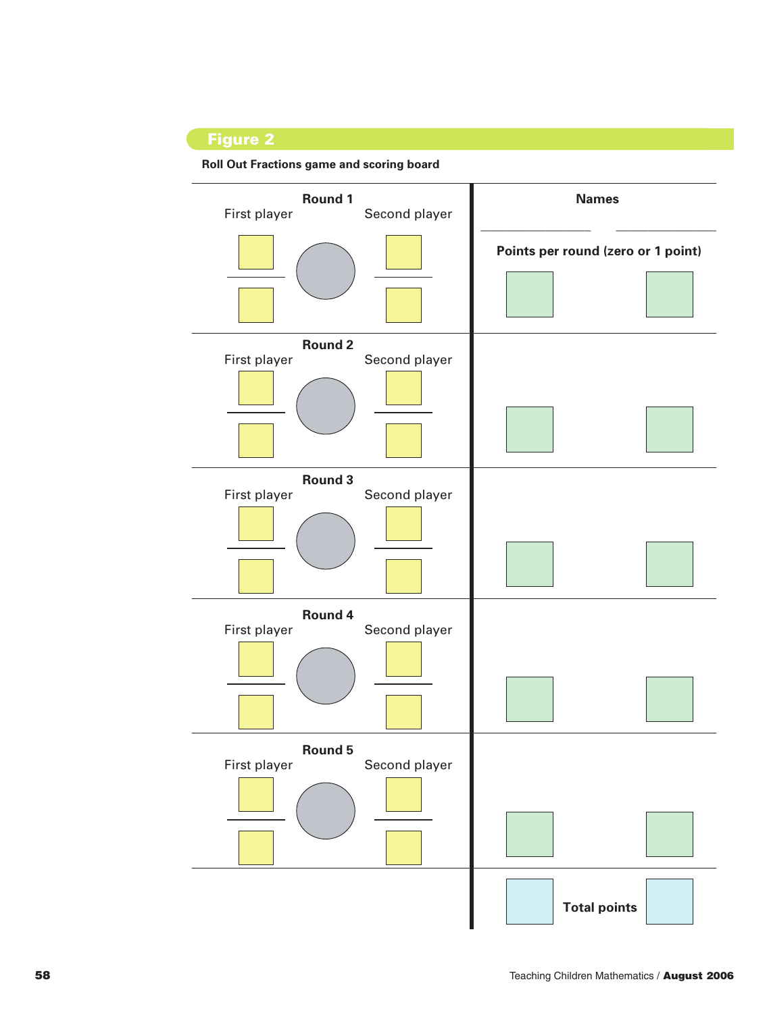## **Roll Out Fractions game and scoring board**

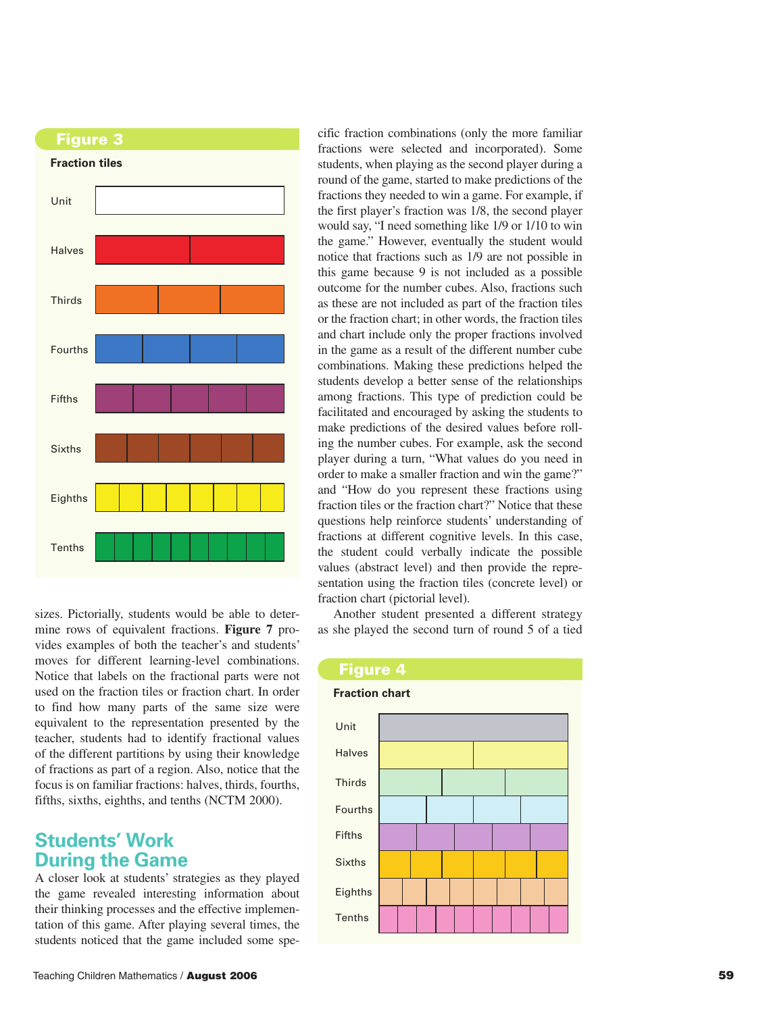

sizes. Pictorially, students would be able to determine rows of equivalent fractions. **Figure 7** provides examples of both the teacher's and students' moves for different learning-level combinations. Notice that labels on the fractional parts were not used on the fraction tiles or fraction chart. In order to find how many parts of the same size were equivalent to the representation presented by the teacher, students had to identify fractional values of the different partitions by using their knowledge of fractions as part of a region. Also, notice that the focus is on familiar fractions: halves, thirds, fourths, fifths, sixths, eighths, and tenths (NCTM 2000).

# **Students' Work During the Game**

A closer look at students' strategies as they played the game revealed interesting information about their thinking processes and the effective implementation of this game. After playing several times, the students noticed that the game included some specific fraction combinations (only the more familiar fractions were selected and incorporated). Some students, when playing as the second player during a round of the game, started to make predictions of the fractions they needed to win a game. For example, if the first player's fraction was 1/8, the second player would say, "I need something like 1/9 or 1/10 to win the game." However, eventually the student would notice that fractions such as 1/9 are not possible in this game because 9 is not included as a possible outcome for the number cubes. Also, fractions such as these are not included as part of the fraction tiles or the fraction chart; in other words, the fraction tiles and chart include only the proper fractions involved in the game as a result of the different number cube combinations. Making these predictions helped the students develop a better sense of the relationships among fractions. This type of prediction could be facilitated and encouraged by asking the students to make predictions of the desired values before rolling the number cubes. For example, ask the second player during a turn, "What values do you need in order to make a smaller fraction and win the game?" and "How do you represent these fractions using fraction tiles or the fraction chart?" Notice that these questions help reinforce students' understanding of fractions at different cognitive levels. In this case, the student could verbally indicate the possible values (abstract level) and then provide the representation using the fraction tiles (concrete level) or fraction chart (pictorial level).

Another student presented a different strategy as she played the second turn of round 5 of a tied

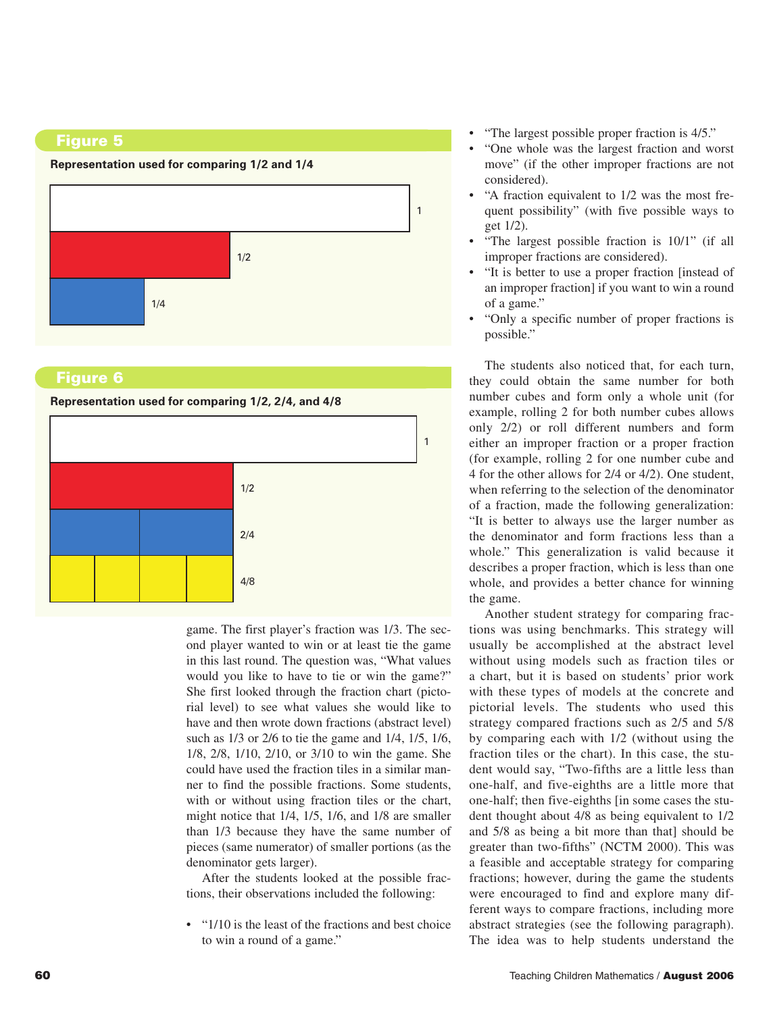



## Figure 6



game. The first player's fraction was 1/3. The second player wanted to win or at least tie the game in this last round. The question was, "What values would you like to have to tie or win the game?" She first looked through the fraction chart (pictorial level) to see what values she would like to have and then wrote down fractions (abstract level) such as 1/3 or 2/6 to tie the game and 1/4, 1/5, 1/6, 1/8, 2/8, 1/10, 2/10, or 3/10 to win the game. She could have used the fraction tiles in a similar manner to find the possible fractions. Some students, with or without using fraction tiles or the chart. might notice that 1/4, 1/5, 1/6, and 1/8 are smaller than 1/3 because they have the same number of pieces (same numerator) of smaller portions (as the denominator gets larger).

After the students looked at the possible fractions, their observations included the following:

• "1/10 is the least of the fractions and best choice" to win a round of a game."

- "The largest possible proper fraction is 4/5."
- "One whole was the largest fraction and worst move" (if the other improper fractions are not considered).
- "A fraction equivalent to 1/2 was the most frequent possibility" (with five possible ways to get 1/2).
- "The largest possible fraction is 10/1" (if all improper fractions are considered).
- "It is better to use a proper fraction [instead of an improper fraction] if you want to win a round of a game."
- "Only a specific number of proper fractions is possible."

The students also noticed that, for each turn, they could obtain the same number for both number cubes and form only a whole unit (for example, rolling 2 for both number cubes allows only 2/2) or roll different numbers and form either an improper fraction or a proper fraction (for example, rolling 2 for one number cube and 4 for the other allows for 2/4 or 4/2). One student, when referring to the selection of the denominator of a fraction, made the following generalization: "It is better to always use the larger number as the denominator and form fractions less than a whole." This generalization is valid because it describes a proper fraction, which is less than one whole, and provides a better chance for winning the game.

Another student strategy for comparing fractions was using benchmarks. This strategy will usually be accomplished at the abstract level without using models such as fraction tiles or a chart, but it is based on students' prior work with these types of models at the concrete and pictorial levels. The students who used this strategy compared fractions such as 2/5 and 5/8 by comparing each with 1/2 (without using the fraction tiles or the chart). In this case, the student would say, "Two-fifths are a little less than one-half, and five-eighths are a little more that one-half; then five-eighths [in some cases the student thought about 4/8 as being equivalent to 1/2 and 5/8 as being a bit more than that] should be greater than two-fifths" (NCTM 2000). This was a feasible and acceptable strategy for comparing fractions; however, during the game the students were encouraged to find and explore many different ways to compare fractions, including more abstract strategies (see the following paragraph). The idea was to help students understand the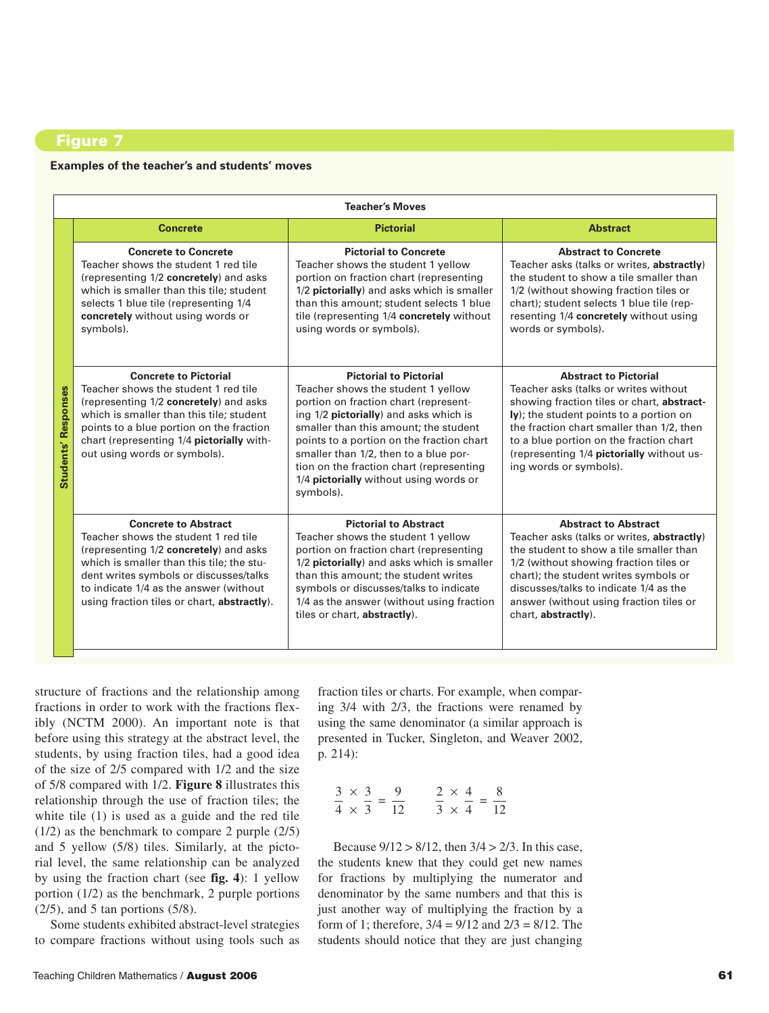#### **Examples of the teacher's and students' moves**

| <b>Teacher's Moves</b>     |                                                                                                                                                                                                                                                                                               |                                                                                                                                                                                                                                                                                                                                                                                          |                                                                                                                                                                                                                                                                                                                               |
|----------------------------|-----------------------------------------------------------------------------------------------------------------------------------------------------------------------------------------------------------------------------------------------------------------------------------------------|------------------------------------------------------------------------------------------------------------------------------------------------------------------------------------------------------------------------------------------------------------------------------------------------------------------------------------------------------------------------------------------|-------------------------------------------------------------------------------------------------------------------------------------------------------------------------------------------------------------------------------------------------------------------------------------------------------------------------------|
|                            | <b>Concrete</b>                                                                                                                                                                                                                                                                               | <b>Pictorial</b>                                                                                                                                                                                                                                                                                                                                                                         | <b>Abstract</b>                                                                                                                                                                                                                                                                                                               |
| <b>Students' Responses</b> | <b>Concrete to Concrete</b><br>Teacher shows the student 1 red tile<br>(representing 1/2 concretely) and asks<br>which is smaller than this tile; student<br>selects 1 blue tile (representing 1/4<br>concretely without using words or<br>symbols).                                          | <b>Pictorial to Concrete</b><br>Teacher shows the student 1 yellow<br>portion on fraction chart (representing<br>1/2 pictorially) and asks which is smaller<br>than this amount; student selects 1 blue<br>tile (representing 1/4 concretely without<br>using words or symbols).                                                                                                         | <b>Abstract to Concrete</b><br>Teacher asks (talks or writes, abstractly)<br>the student to show a tile smaller than<br>1/2 (without showing fraction tiles or<br>chart); student selects 1 blue tile (rep-<br>resenting 1/4 concretely without using<br>words or symbols).                                                   |
|                            | <b>Concrete to Pictorial</b><br>Teacher shows the student 1 red tile<br>(representing 1/2 concretely) and asks<br>which is smaller than this tile; student<br>points to a blue portion on the fraction<br>chart (representing 1/4 pictorially with-<br>out using words or symbols).           | <b>Pictorial to Pictorial</b><br>Teacher shows the student 1 yellow<br>portion on fraction chart (represent-<br>ing 1/2 pictorially) and asks which is<br>smaller than this amount; the student<br>points to a portion on the fraction chart<br>smaller than 1/2, then to a blue por-<br>tion on the fraction chart (representing<br>1/4 pictorially without using words or<br>symbols). | <b>Abstract to Pictorial</b><br>Teacher asks (talks or writes without<br>showing fraction tiles or chart, abstract-<br>ly); the student points to a portion on<br>the fraction chart smaller than 1/2, then<br>to a blue portion on the fraction chart<br>(representing 1/4 pictorially without us-<br>ing words or symbols). |
|                            | <b>Concrete to Abstract</b><br>Teacher shows the student 1 red tile<br>(representing 1/2 concretely) and asks<br>which is smaller than this tile; the stu-<br>dent writes symbols or discusses/talks<br>to indicate 1/4 as the answer (without<br>using fraction tiles or chart, abstractly). | <b>Pictorial to Abstract</b><br>Teacher shows the student 1 yellow<br>portion on fraction chart (representing<br>1/2 pictorially) and asks which is smaller<br>than this amount: the student writes<br>symbols or discusses/talks to indicate<br>1/4 as the answer (without using fraction<br>tiles or chart, abstractly).                                                               | <b>Abstract to Abstract</b><br>Teacher asks (talks or writes, abstractly)<br>the student to show a tile smaller than<br>1/2 (without showing fraction tiles or<br>chart); the student writes symbols or<br>discusses/talks to indicate 1/4 as the<br>answer (without using fraction tiles or<br>chart, abstractly).           |

structure of fractions and the relationship among fractions in order to work with the fractions flexibly (NCTM 2000). An important note is that before using this strategy at the abstract level, the students, by using fraction tiles, had a good idea of the size of 2/5 compared with 1/2 and the size of 5/8 compared with 1/2. **Figure 8** illustrates this relationship through the use of fraction tiles; the white tile (1) is used as a guide and the red tile (1/2) as the benchmark to compare 2 purple (2/5) and 5 yellow (5/8) tiles. Similarly, at the pictorial level, the same relationship can be analyzed by using the fraction chart (see **fig. 4**): 1 yellow portion (1/2) as the benchmark, 2 purple portions (2/5), and 5 tan portions (5/8).

Some students exhibited abstract-level strategies to compare fractions without using tools such as

fraction tiles or charts. For example, when comparing 3/4 with 2/3, the fractions were renamed by using the same denominator (a similar approach is presented in Tucker, Singleton, and Weaver 2002, p. 214):

$$
\frac{3}{4} \times \frac{3}{3} = \frac{9}{12} \qquad \frac{2}{3} \times \frac{4}{4} = \frac{8}{12}
$$

Because  $9/12 > 8/12$ , then  $3/4 > 2/3$ . In this case, the students knew that they could get new names for fractions by multiplying the numerator and denominator by the same numbers and that this is just another way of multiplying the fraction by a form of 1; therefore,  $3/4 = 9/12$  and  $2/3 = 8/12$ . The students should notice that they are just changing